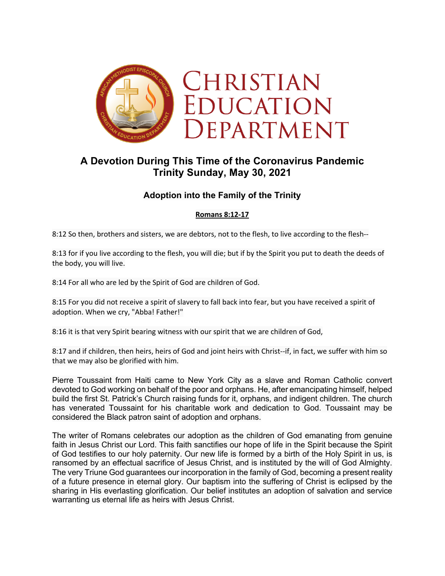

# **A Devotion During This Time of the Coronavirus Pandemic Trinity Sunday, May 30, 2021**

# **Adoption into the Family of the Trinity**

# **Romans 8:12-17**

8:12 So then, brothers and sisters, we are debtors, not to the flesh, to live according to the flesh--

8:13 for if you live according to the flesh, you will die; but if by the Spirit you put to death the deeds of the body, you will live.

8:14 For all who are led by the Spirit of God are children of God.

8:15 For you did not receive a spirit of slavery to fall back into fear, but you have received a spirit of adoption. When we cry, "Abba! Father!"

8:16 it is that very Spirit bearing witness with our spirit that we are children of God,

8:17 and if children, then heirs, heirs of God and joint heirs with Christ--if, in fact, we suffer with him so that we may also be glorified with him.

Pierre Toussaint from Haiti came to New York City as a slave and Roman Catholic convert devoted to God working on behalf of the poor and orphans. He, after emancipating himself, helped build the first St. Patrick's Church raising funds for it, orphans, and indigent children. The church has venerated Toussaint for his charitable work and dedication to God. Toussaint may be considered the Black patron saint of adoption and orphans.

The writer of Romans celebrates our adoption as the children of God emanating from genuine faith in Jesus Christ our Lord. This faith sanctifies our hope of life in the Spirit because the Spirit of God testifies to our holy paternity. Our new life is formed by a birth of the Holy Spirit in us, is ransomed by an effectual sacrifice of Jesus Christ, and is instituted by the will of God Almighty. The very Triune God guarantees our incorporation in the family of God, becoming a present reality of a future presence in eternal glory. Our baptism into the suffering of Christ is eclipsed by the sharing in His everlasting glorification. Our belief institutes an adoption of salvation and service warranting us eternal life as heirs with Jesus Christ.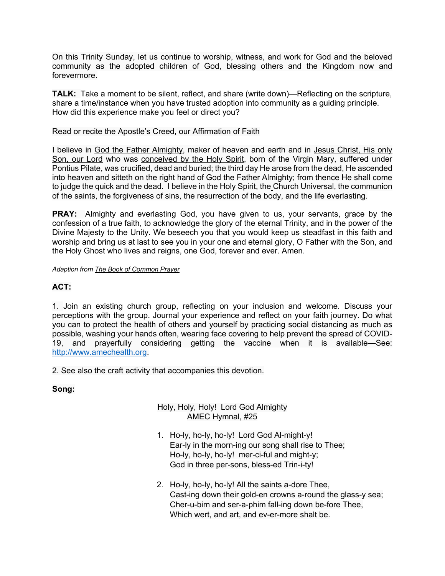On this Trinity Sunday, let us continue to worship, witness, and work for God and the beloved community as the adopted children of God, blessing others and the Kingdom now and forevermore.

**TALK:** Take a moment to be silent, reflect, and share (write down)—Reflecting on the scripture, share a time/instance when you have trusted adoption into community as a guiding principle. How did this experience make you feel or direct you?

#### Read or recite the Apostle's Creed, our Affirmation of Faith

I believe in God the Father Almighty, maker of heaven and earth and in Jesus Christ, His only Son, our Lord who was conceived by the Holy Spirit, born of the Virgin Mary, suffered under Pontius Pilate, was crucified, dead and buried; the third day He arose from the dead, He ascended into heaven and sitteth on the right hand of God the Father Almighty; from thence He shall come to judge the quick and the dead. I believe in the Holy Spirit, the Church Universal, the communion of the saints, the forgiveness of sins, the resurrection of the body, and the life everlasting.

**PRAY:** Almighty and everlasting God, you have given to us, your servants, grace by the confession of a true faith, to acknowledge the glory of the eternal Trinity, and in the power of the Divine Majesty to the Unity. We beseech you that you would keep us steadfast in this faith and worship and bring us at last to see you in your one and eternal glory, O Father with the Son, and the Holy Ghost who lives and reigns, one God, forever and ever. Amen.

*Adaption from The Book of Common Prayer*

# **ACT:**

1. Join an existing church group, reflecting on your inclusion and welcome. Discuss your perceptions with the group. Journal your experience and reflect on your faith journey. Do what you can to protect the health of others and yourself by practicing social distancing as much as possible, washing your hands often, wearing face covering to help prevent the spread of COVID-19, and prayerfully considering getting the vaccine when it is available—See: http://www.amechealth.org.

2. See also the craft activity that accompanies this devotion.

# **Song:**

#### Holy, Holy, Holy! Lord God Almighty AMEC Hymnal, #25

- 1. Ho-ly, ho-ly, ho-ly! Lord God Al-might-y! Ear-ly in the morn-ing our song shall rise to Thee; Ho-ly, ho-ly, ho-ly! mer-ci-ful and might-y; God in three per-sons, bless-ed Trin-i-ty!
- 2. Ho-ly, ho-ly, ho-ly! All the saints a-dore Thee, Cast-ing down their gold-en crowns a-round the glass-y sea; Cher-u-bim and ser-a-phim fall-ing down be-fore Thee, Which wert, and art, and ev-er-more shalt be.